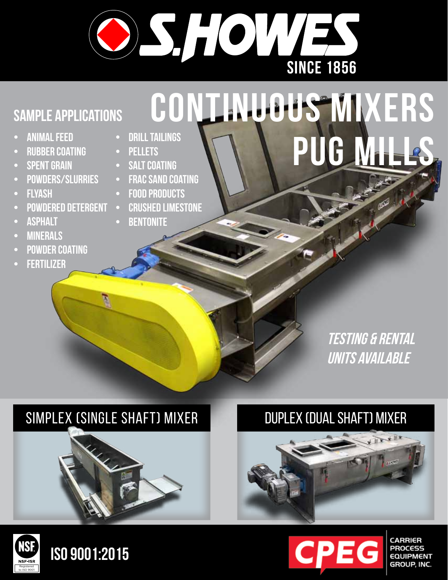

## **Sample applications**

- **• Animal Feed**
- **• rubber coating**
- **SPENT GRAIN**
- **• Powders/Slurries**
- **FLYASH**
- **POWDERED DETERGENT**
- **ASPHALT**
- **• Minerals**
- **• powder coating**
- **• fertilizer**
- **DRILL TAILINGS**
- **• Pellets SALT COATING**
- 
- **FRAC SAND COATING**
- **FOOD PRODUCTS**
- **CRUSHED LIMESTONE**
- **BENTONITE**

# **continuous mixers pug mills**

### **testing & rental units available**

### simplex (single shaft) mixer duplex (dual shaft) mixer









**EQUIPMENT**